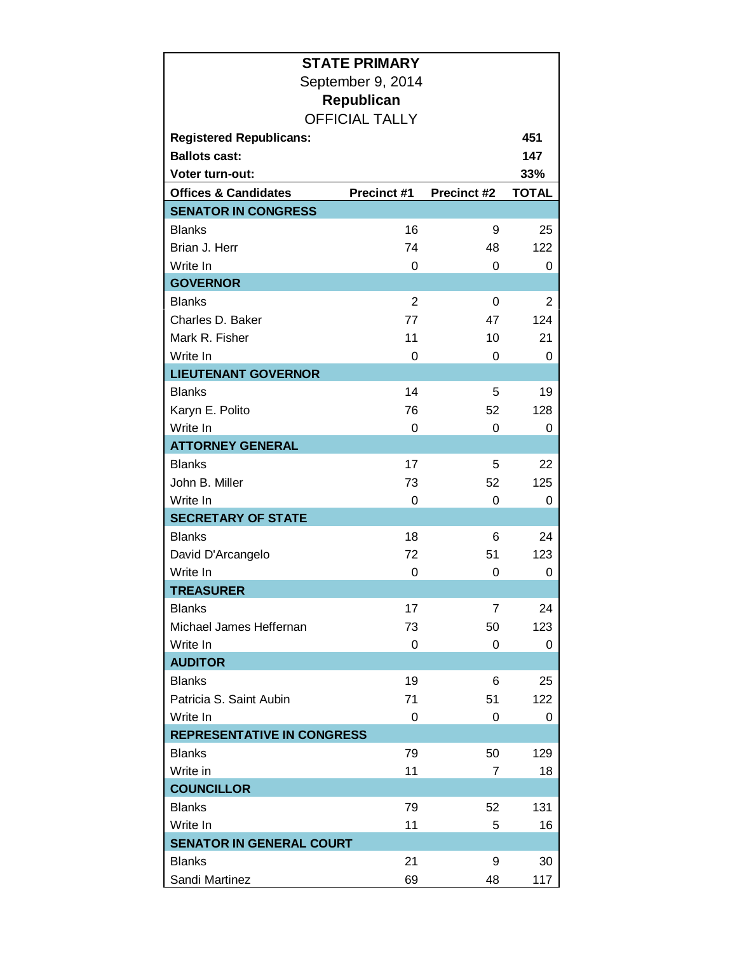|                                   | <b>STATE PRIMARY</b>  |                |              |  |  |  |
|-----------------------------------|-----------------------|----------------|--------------|--|--|--|
| September 9, 2014                 |                       |                |              |  |  |  |
|                                   | <b>Republican</b>     |                |              |  |  |  |
|                                   | <b>OFFICIAL TALLY</b> |                |              |  |  |  |
| <b>Registered Republicans:</b>    |                       |                | 451          |  |  |  |
| <b>Ballots cast:</b>              |                       |                | 147          |  |  |  |
| <b>Voter turn-out:</b>            |                       |                | 33%          |  |  |  |
| <b>Offices &amp; Candidates</b>   | Precinct #1           | Precinct #2    | <b>TOTAL</b> |  |  |  |
| <b>SENATOR IN CONGRESS</b>        |                       |                |              |  |  |  |
| <b>Blanks</b>                     | 16                    | 9              | 25           |  |  |  |
| Brian J. Herr                     | 74                    | 48             | 122          |  |  |  |
| Write In                          | $\Omega$              | $\Omega$       | 0            |  |  |  |
| <b>GOVERNOR</b>                   |                       |                |              |  |  |  |
| <b>Blanks</b>                     | 2                     | $\Omega$       | 2            |  |  |  |
| Charles D. Baker                  | 77                    | 47             | 124          |  |  |  |
| Mark R. Fisher                    | 11                    | 10             | 21           |  |  |  |
| Write In                          | 0                     | 0              | 0            |  |  |  |
| <b>LIEUTENANT GOVERNOR</b>        |                       |                |              |  |  |  |
| <b>Blanks</b>                     | 14                    | 5              | 19           |  |  |  |
| Karyn E. Polito                   | 76                    | 52             | 128          |  |  |  |
| Write In                          | 0                     | 0              | 0            |  |  |  |
| <b>ATTORNEY GENERAL</b>           |                       |                |              |  |  |  |
| <b>Blanks</b>                     | 17                    | 5              | 22           |  |  |  |
| John B. Miller                    | 73                    | 52             | 125          |  |  |  |
| Write In                          | 0                     | 0              | 0            |  |  |  |
| <b>SECRETARY OF STATE</b>         |                       |                |              |  |  |  |
| <b>Blanks</b>                     | 18                    | 6              | 24           |  |  |  |
| David D'Arcangelo                 | 72                    | 51             | 123          |  |  |  |
| Write In                          | 0                     | 0              | 0            |  |  |  |
| <b>TREASURER</b>                  |                       |                |              |  |  |  |
| <b>Blanks</b>                     | 17                    | $\overline{7}$ | 24           |  |  |  |
| Michael James Heffernan           | 73                    | 50             | 123          |  |  |  |
| Write In                          | 0                     | 0              | 0            |  |  |  |
| <b>AUDITOR</b>                    |                       |                |              |  |  |  |
| <b>Blanks</b>                     | 19                    | 6              | 25           |  |  |  |
| Patricia S. Saint Aubin           | 71                    | 51             | 122          |  |  |  |
| Write In                          | 0                     | 0              | 0            |  |  |  |
| <b>REPRESENTATIVE IN CONGRESS</b> |                       |                |              |  |  |  |
| <b>Blanks</b>                     | 79                    | 50             | 129          |  |  |  |
| Write in                          | 11                    | $\overline{7}$ | 18           |  |  |  |
| <b>COUNCILLOR</b>                 |                       |                |              |  |  |  |
| <b>Blanks</b>                     | 79                    | 52             | 131          |  |  |  |
| Write In                          | 11                    | 5              | 16           |  |  |  |
| <b>SENATOR IN GENERAL COURT</b>   |                       |                |              |  |  |  |
| <b>Blanks</b>                     | 21                    | 9              | 30           |  |  |  |
| Sandi Martinez                    | 69                    | 48             | 117          |  |  |  |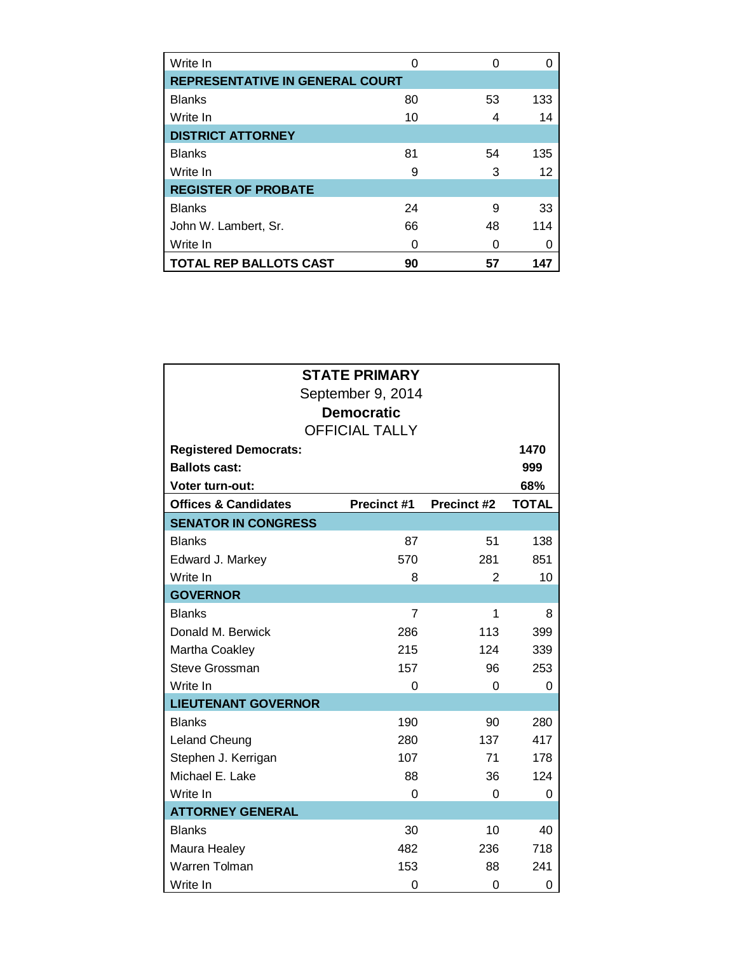| Write In                               | ∩  | 0  |     |
|----------------------------------------|----|----|-----|
| <b>REPRESENTATIVE IN GENERAL COURT</b> |    |    |     |
| <b>Blanks</b>                          | 80 | 53 | 133 |
| Write In                               | 10 | 4  | 14  |
| <b>DISTRICT ATTORNEY</b>               |    |    |     |
| <b>Blanks</b>                          | 81 | 54 | 135 |
| Write In                               | 9  | 3  | 12  |
| <b>REGISTER OF PROBATE</b>             |    |    |     |
| <b>Blanks</b>                          | 24 | 9  | 33  |
| John W. Lambert, Sr.                   | 66 | 48 | 114 |
| Write In                               | O  | ი  |     |
| <b>TOTAL REP BALLOTS CAST</b>          | 90 | 57 |     |

|                                 | <b>STATE PRIMARY</b>  |                    |              |
|---------------------------------|-----------------------|--------------------|--------------|
|                                 | September 9, 2014     |                    |              |
|                                 | <b>Democratic</b>     |                    |              |
|                                 | <b>OFFICIAL TALLY</b> |                    |              |
| <b>Registered Democrats:</b>    |                       |                    | 1470         |
| <b>Ballots cast:</b>            |                       |                    | 999          |
| <b>Voter turn-out:</b>          |                       |                    | 68%          |
| <b>Offices &amp; Candidates</b> | <b>Precinct #1</b>    | <b>Precinct #2</b> | <b>TOTAL</b> |
| <b>SENATOR IN CONGRESS</b>      |                       |                    |              |
| <b>Blanks</b>                   | 87                    | 51                 | 138          |
| Edward J. Markey                | 570                   | 281                | 851          |
| Write In                        | 8                     | $\overline{2}$     | 10           |
| <b>GOVERNOR</b>                 |                       |                    |              |
| <b>Blanks</b>                   | 7                     | 1                  | 8            |
| Donald M. Berwick               | 286                   | 113                | 399          |
| Martha Coakley                  | 215                   | 124                | 339          |
| Steve Grossman                  | 157                   | 96                 | 253          |
| Write In                        | 0                     | $\Omega$           | 0            |
| <b>LIEUTENANT GOVERNOR</b>      |                       |                    |              |
| <b>Blanks</b>                   | 190                   | 90                 | 280          |
| Leland Cheung                   | 280                   | 137                | 417          |
| Stephen J. Kerrigan             | 107                   | 71                 | 178          |
| Michael E. Lake                 | 88                    | 36                 | 124          |
| Write In                        | 0                     | 0                  | 0            |
| <b>ATTORNEY GENERAL</b>         |                       |                    |              |
| <b>Blanks</b>                   | 30                    | 10                 | 40           |
| Maura Healey                    | 482                   | 236                | 718          |
| Warren Tolman                   | 153                   | 88                 | 241          |
| Write In                        | 0                     | 0                  | 0            |